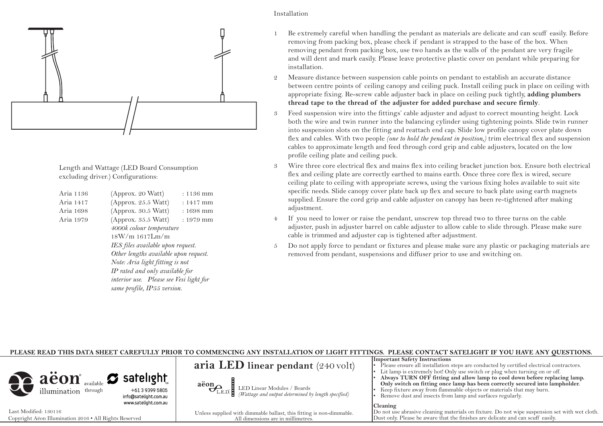

Length and Wattage (LED Board Consumption excluding driver.) Configurations:

| Aria 1136 | (Approx. 20 Watt)                       | $: 1136$ mm |
|-----------|-----------------------------------------|-------------|
| Aria 1417 | (Approx. 25.5 Watt)                     | $: 1417$ mm |
| Aria 1698 | (Approx. 30.5 Watt)                     | $: 1698$ mm |
| Aria 1979 | (Approx. 35.5 Watt)                     | $: 1979$ mm |
|           | 4000k colour temperature                |             |
|           | 18W/m 1617Lm/m                          |             |
|           | IES files available upon request.       |             |
|           | Other lengths available upon request.   |             |
|           | Note: Aria light fitting is not         |             |
|           | IP rated and only available for         |             |
|           | interior use. Please see Vesi light for |             |
|           | same profile, IP55 version.             |             |
|           |                                         |             |

- 1 Be extremely careful when handling the pendant as materials are delicate and can scuff easily. Before removing from packing box, please check if pendant is strapped to the base of the box. When removing pendant from packing box, use two hands as the walls of the pendant are very fragile and will dent and mark easily. Please leave protective plastic cover on pendant while preparing for installation.
- 2 Measure distance between suspension cable points on pendant to establish an accurate distance between centre points of ceiling canopy and ceiling puck. Install ceiling puck in place on ceiling with appropriate fixing. Re-screw cable adjuster back in place on ceiling puck tightly, **adding plumbers thread tape to the thread of the adjuster for added purchase and secure firmly**.
- 3 Feed suspension wire into the fittings' cable adjuster and adjust to correct mounting height. Lock both the wire and twin runner into the balancing cylinder using tightening points. Slide twin runner into suspension slots on the fitting and reattach end cap. Slide low profile canopy cover plate down flex and cables. With two people *(one to hold the pendant in position,)* trim electrical flex and suspension cables to approximate length and feed through cord grip and cable adjusters, located on the low profile ceiling plate and ceiling puck.
- 3 Wire three core electrical flex and mains flex into ceiling bracket junction box. Ensure both electrical flex and ceiling plate are correctly earthed to mains earth. Once three core flex is wired, secure ceiling plate to ceiling with appropriate screws, using the various fixing holes available to suit site specific needs. Slide canopy cover plate back up flex and secure to back plate using earth magnets supplied. Ensure the cord grip and cable adjuster on canopy has been re-tightened after making adjustment.
- 4 If you need to lower or raise the pendant, unscrew top thread two to three turns on the cable adjuster, push in adjuster barrel on cable adjuster to allow cable to slide through. Please make sure cable is trimmed and adjuster cap is tightened after adjustment.
- 5 Do not apply force to pendant or fixtures and please make sure any plastic or packaging materials are removed from pendant, suspensions and diffuser prior to use and switching on.

| PLEASE READ THIS DATA SHEET CAREFULLY PRIOR TO COMMENCING ANY INSTALLATION OF LIGHT FITTINGS. PLEASE CONTACT SATELIGHT IF YOU HAVE ANY OUESTIONS. |                                                                                                                                         |                                                                                                                                                                                                                                                                                                 |  |  |
|---------------------------------------------------------------------------------------------------------------------------------------------------|-----------------------------------------------------------------------------------------------------------------------------------------|-------------------------------------------------------------------------------------------------------------------------------------------------------------------------------------------------------------------------------------------------------------------------------------------------|--|--|
|                                                                                                                                                   | aria LED linear pendant $(240 \text{ volt})$                                                                                            | <b>Important Safety Instructions</b><br>Please ensure all installation steps are conducted by certified electrical contractors.<br>Lit lamp is extremely hot! Only use switch or plug when turning on or off.                                                                                   |  |  |
| aëon available satelight<br>info@satelight.com.au<br>www.satelight.com.au                                                                         | $\overbrace{L_{\text{E.D.}}}^{\text{aion}}$ LED Linear Modules / Boards<br>( <i>Wattage and output determined by length specified</i> ) | Always TURN OFF fitting and allow lamp to cool down before replacing lamp.<br>Only switch on fitting once lamp has been correctly secured into lampholder.<br>Keep fixture away from flammable objects or materials that may burn.<br>Remove dust and insects from lamp and surfaces regularly. |  |  |
| Last Modified: 130116<br>Copyright Aëon Illumination 2016 • All Rights Reserved                                                                   | Unless supplied with dimmable ballast, this fitting is non-dimmable.<br>All dimensions are in millimetres.                              | <b>Cleaning</b><br>Do not use abrasive cleaning materials on fixture. Do not wipe suspension set with wet cloth.<br>Dust only. Please be aware that the finishes are delicate and can scuff easily.                                                                                             |  |  |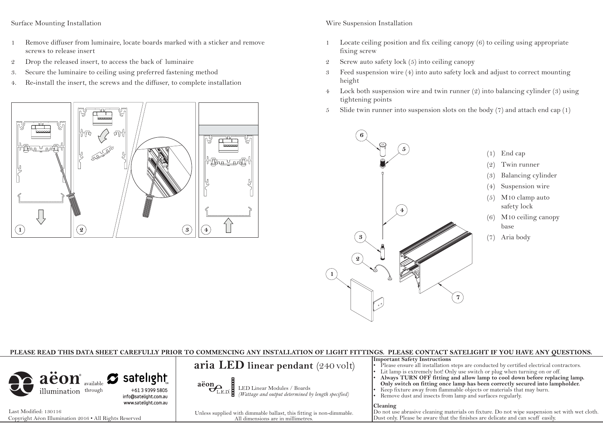#### Surface Mounting Installation

- 1 Remove diffuser from luminaire, locate boards marked with a sticker and remove screws to release insert
- 2 Drop the released insert, to access the back of luminaire
- 3. Secure the luminaire to ceiling using preferred fastening method
- 4. Re-install the insert, the screws and the diffuser, to complete installation



## Wire Suspension Installation

- 1 Locate ceiling position and fix ceiling canopy (6) to ceiling using appropriate fixing screw
- 2 Screw auto safety lock (5) into ceiling canopy
- 3 Feed suspension wire (4) into auto safety lock and adjust to correct mounting height
- 4 Lock both suspension wire and twin runner (2) into balancing cylinder (3) using tightening points
- 5 Slide twin runner into suspension slots on the body  $(7)$  and attach end cap  $(1)$



| PLEASE READ THIS DATA SHEET CAREFULLY PRIOR TO COMMENCING ANY INSTALLATION OF LIGHT FITTINGS. PLEASE CONTACT SATELIGHT IF YOU HAVE ANY OUESTIONS.                                                                                                                                                                                                                                                                                                                                                              |                                                                                                                                           |                                                                                                                                                                                                                                                                                                                    |  |  |
|----------------------------------------------------------------------------------------------------------------------------------------------------------------------------------------------------------------------------------------------------------------------------------------------------------------------------------------------------------------------------------------------------------------------------------------------------------------------------------------------------------------|-------------------------------------------------------------------------------------------------------------------------------------------|--------------------------------------------------------------------------------------------------------------------------------------------------------------------------------------------------------------------------------------------------------------------------------------------------------------------|--|--|
|                                                                                                                                                                                                                                                                                                                                                                                                                                                                                                                | aria LED linear pendant $(240 \text{ volt})$                                                                                              | <b>Important Safety Instructions</b><br>Please ensure all installation steps are conducted by certified electrical contractors.<br>• Lit lamp is extremely hot! Only use switch or plug when turning on or off.                                                                                                    |  |  |
| $\left\{ \begin{array}{c c} \mathbf{a} \ddot{\mathbf{e}} \mathbf{on}^* & \mathbf{z} \end{array} \right. \ \text{and} \ \left\{ \begin{array}{c} \mathbf{a} \mathbf{a} \mathbf{a} \mathbf{a} \mathbf{b} \mathbf{b} \mathbf{b} \mathbf{c} \\ \text{is a constant} \end{array} \right. \ \text{and} \ \left. \begin{array}{c} \mathbf{a} \mathbf{a} \mathbf{b} \mathbf{b} \mathbf{b} \mathbf{b} \mathbf{c} \mathbf{b} \mathbf{c} \mathbf{a} \mathbf{b} \mathbf{$<br>info@satelight.com.au<br>www.satelight.com.au | $\overbrace{C_{\text{L.E.D.}}}^{\text{aëon}}$ LED Linear Modules / Boards<br>( <i>Wattage and output determined by length specified</i> ) | Always TURN OFF fitting and allow lamp to cool down before replacing lamp.<br>Only switch on fitting once lamp has been correctly secured into lampholder.<br>Keep fixture away from flammable objects or materials that may burn.<br>Remove dust and insects from lamp and surfaces regularly.<br><b>Cleaning</b> |  |  |
| Last Modified: 130116                                                                                                                                                                                                                                                                                                                                                                                                                                                                                          | Unless supplied with dimmable ballast, this fitting is non-dimmable.                                                                      | Do not use abrasive cleaning materials on fixture. Do not wipe suspension set with wet cloth.                                                                                                                                                                                                                      |  |  |
| Copyright Aëon Illumination 2016 . All Rights Reserved                                                                                                                                                                                                                                                                                                                                                                                                                                                         | All dimensions are in millimetres.                                                                                                        | Dust only. Please be aware that the finishes are delicate and can scuff easily.                                                                                                                                                                                                                                    |  |  |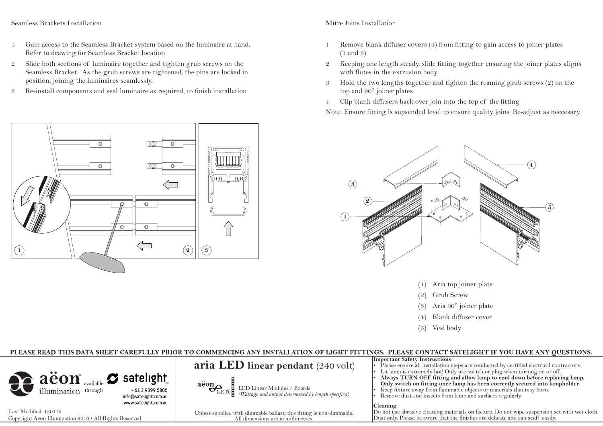### Seamless Brackets Installation

- 1 Gain access to the Seamless Bracket system based on the luminaire at hand. Refer to drawing for Seamless Bracket location
- 2 Slide both sections of luminaire together and tighten grub screws on the Seamless Bracket. As the grub screws are tightened, the pins are locked in position, joining the luminaires seamlessly.
- 3 Re-install components and seal luminaire as required, to finish installation

## Mitre Joins Installation

- 1 Remove blank diffuser covers (4) from fitting to gain access to joiner plates (1 and 3)
- 2 Keeping one length steady, slide fitting together ensuring the joiner plates aligns with flutes in the extrusion body
- 3 Hold the two lengths together and tighten the reaming grub screws (2) on the top and 90° joiner plates
- 4 Clip blank diffusers back over join into the top of the fitting

Note: Ensure fitting is supsended level to ensure quality joins. Re-adjust as neccesary



- (1) Aria top joiner plate
- (2) Grub Screw
- (3) Aria 90° joiner plate
- (4) Blank diffuser cover
- (5) Vesi body

# PLEASE READ THIS DATA SHEET CAREFULLY PRIOR TO COMMENCING ANY INSTALLATION OF LIGHT FITTINGS. PLEASE CONTACT SATELIGHT IF YOU HAVE ANY OUESTIONS.

| aëon available satelight<br>illumination through<br>+61 3 9399 5805<br>info@satelight.com.au | aria LED linear pendant $(240 \text{ volt})$<br>$\overline{\mathbf{a} \text{eon}}$<br>$\overline{\mathbf{b}}_{\text{L.E.D.}}$ LED Linear Modules / Boards<br>( <i>Wattage and output determined by length specified</i> ) | <b>Important Safety Instructions</b><br>• Please ensure all installation steps are conducted by certified electrical contractors.<br>• Lit lamp is extremely hot! Only use switch or plug when turning on or off.<br>Always TURN OFF fitting and allow lamp to cool down before replacing lamp.<br>Only switch on fitting once lamp has been correctly secured into lampholder.<br>Keep fixture away from flammable objects or materials that may burn.<br>Remove dust and insects from lamp and surfaces regularly. |
|----------------------------------------------------------------------------------------------|---------------------------------------------------------------------------------------------------------------------------------------------------------------------------------------------------------------------------|----------------------------------------------------------------------------------------------------------------------------------------------------------------------------------------------------------------------------------------------------------------------------------------------------------------------------------------------------------------------------------------------------------------------------------------------------------------------------------------------------------------------|
| www.satelight.com.au                                                                         |                                                                                                                                                                                                                           | <b>Cleaning</b>                                                                                                                                                                                                                                                                                                                                                                                                                                                                                                      |
| Last Modified: 130116                                                                        | Unless supplied with dimmable ballast, this fitting is non-dimmable.                                                                                                                                                      | Do not use abrasive cleaning materials on fixture. Do not wipe suspension set with wet cloth.                                                                                                                                                                                                                                                                                                                                                                                                                        |
| Copyright Aëon Illumination 2016 . All Rights Reserved                                       | All dimensions are in millimetres.                                                                                                                                                                                        | Dust only. Please be aware that the finishes are delicate and can scuff easily.                                                                                                                                                                                                                                                                                                                                                                                                                                      |